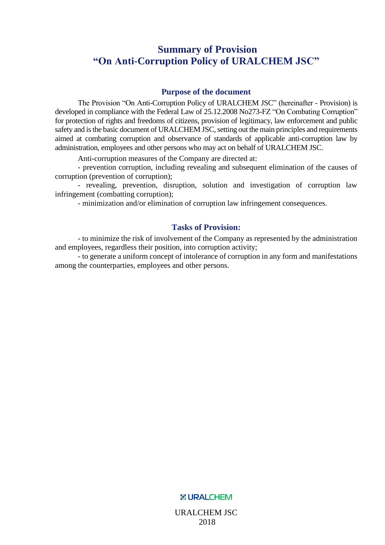### <span id="page-0-0"></span>**Summary of Provision "On Anti-Corruption Policy of URALCHEM JSC"**

#### **Purpose of the document**

The Provision "On Anti-Corruption Policy of URALCHEM JSC" (hereinafter - Provision) is developed in compliance with the Federal Law of 25.12.2008 No273-FZ "On Combating Corruption" for protection of rights and freedoms of citizens, provision of legitimacy, law enforcement and public safety and is the basic document of URALCHEM JSC, setting out the main principles and requirements aimed at combating corruption and observance of standards of applicable anti-corruption law by administration, employees and other persons who may act on behalf of URALCHEM JSC.

Anti-corruption measures of the Company are directed at:

- prevention corruption, including revealing and subsequent elimination of the causes of corruption (prevention of corruption);

- revealing, prevention, disruption, solution and investigation of corruption law infringement (combatting corruption);

- minimization and/or elimination of corruption law infringement consequences.

#### **Tasks of Provision:**

- to minimize the risk of involvement of the Company as represented by the administration and employees, regardless their position, into corruption activity;

- to generate a uniform concept of intolerance of corruption in any form and manifestations among the counterparties, employees and other persons.

#### **X: URALCHEM**

URALCHEM JSC 2018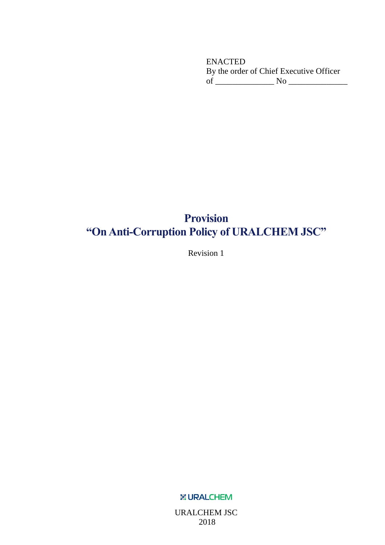ENACTED By the order of Chief Executive Officer of \_\_\_\_\_\_\_\_\_\_\_\_\_\_ No \_\_\_\_\_\_\_\_\_\_\_\_\_\_

# **Provision "On Anti-Corruption Policy of URALCHEM JSC"**

Revision 1

**X: URALCHEM** 

URALCHEM JSC 2018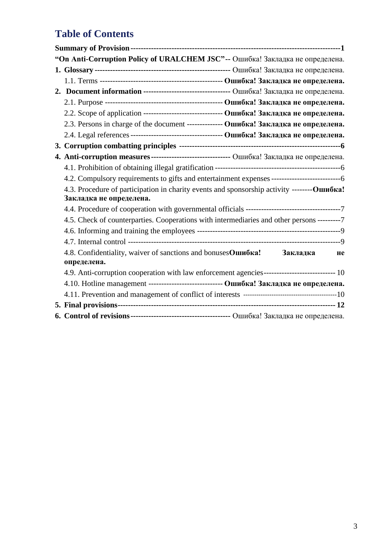# **Table of Contents**

| "On Anti-Corruption Policy of URALCHEM JSC"-- Ошибка! Закладка не определена.               |
|---------------------------------------------------------------------------------------------|
|                                                                                             |
|                                                                                             |
| 2. Document information -------------------------------- Ошибка! Закладка не определена.    |
|                                                                                             |
| 2.2. Scope of application ------------------------------- Ошибка! Закладка не определена.   |
| 2.3. Persons in charge of the document ------------- Ошибка! Закладка не определена.        |
|                                                                                             |
|                                                                                             |
| 4. Anti-corruption measures ------------------------------ Ошибка! Закладка не определена.  |
|                                                                                             |
|                                                                                             |
| 4.3. Procedure of participation in charity events and sponsorship activity -------- Ошибка! |
| Закладка не определена.                                                                     |
|                                                                                             |
| 4.5. Check of counterparties. Cooperations with intermediaries and other persons ---------7 |
|                                                                                             |
|                                                                                             |
| 4.8. Confidentiality, waiver of sanctions and bonusesОшибка!<br>Закладка<br>He              |
| определена.                                                                                 |
|                                                                                             |
| 4.10. Hotline management ---------------------------- Ошибка! Закладка не определена.       |
|                                                                                             |
|                                                                                             |
|                                                                                             |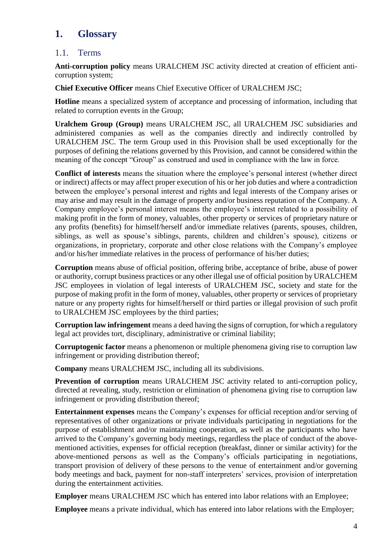## **1. Glossary**

### 1.1. Terms

**Anti-corruption policy** means URALCHEM JSC activity directed at creation of efficient anticorruption system;

**Chief Executive Officer** means Chief Executive Officer of URALCHEM JSC;

**Hotline** means a specialized system of acceptance and processing of information, including that related to corruption events in the Group;

**Uralchem Group (Group)** means URALCHEM JSC, all URALCHEM JSC subsidiaries and administered companies as well as the companies directly and indirectly controlled by URALCHEM JSC. The term Group used in this Provision shall be used exceptionally for the purposes of defining the relations governed by this Provision, and cannot be considered within the meaning of the concept "Group" as construed and used in compliance with the law in force.

**Conflict of interests** means the situation where the employee's personal interest (whether direct or indirect) affects or may affect proper execution of his or her job duties and where a contradiction between the employee's personal interest and rights and legal interests of the Company arises or may arise and may result in the damage of property and/or business reputation of the Company. A Company employee's personal interest means the employee's interest related to a possibility of making profit in the form of money, valuables, other property or services of proprietary nature or any profits (benefits) for himself/herself and/or immediate relatives (parents, spouses, children, siblings, as well as spouse's siblings, parents, children and children's spouse), citizens or organizations, in proprietary, corporate and other close relations with the Company's employee and/or his/her immediate relatives in the process of performance of his/her duties;

**Corruption** means abuse of official position, offering bribe, acceptance of bribe, abuse of power or authority, corrupt business practices or any other illegal use of official position by URALCHEM JSC employees in violation of legal interests of URALCHEM JSC, society and state for the purpose of making profit in the form of money, valuables, other property or services of proprietary nature or any property rights for himself/herself or third parties or illegal provision of such profit to URALCHEM JSC employees by the third parties;

**Corruption law infringement** means a deed having the signs of corruption, for which a regulatory legal act provides tort, disciplinary, administrative or criminal liability;

**Corruptogenic factor** means a phenomenon or multiple phenomena giving rise to corruption law infringement or providing distribution thereof;

**Company** means URALCHEM JSC, including all its subdivisions.

**Prevention of corruption** means URALCHEM JSC activity related to anti-corruption policy, directed at revealing, study, restriction or elimination of phenomena giving rise to corruption law infringement or providing distribution thereof;

**Entertainment expenses** means the Company's expenses for official reception and/or serving of representatives of other organizations or private individuals participating in negotiations for the purpose of establishment and/or maintaining cooperation, as well as the participants who have arrived to the Company's governing body meetings, regardless the place of conduct of the abovementioned activities, expenses for official reception (breakfast, dinner or similar activity) for the above-mentioned persons as well as the Company's officials participating in negotiations, transport provision of delivery of these persons to the venue of entertainment and/or governing body meetings and back, payment for non-staff interpreters' services, provision of interpretation during the entertainment activities.

**Employer** means URALCHEM JSC which has entered into labor relations with an Employee;

**Employee** means a private individual, which has entered into labor relations with the Employer;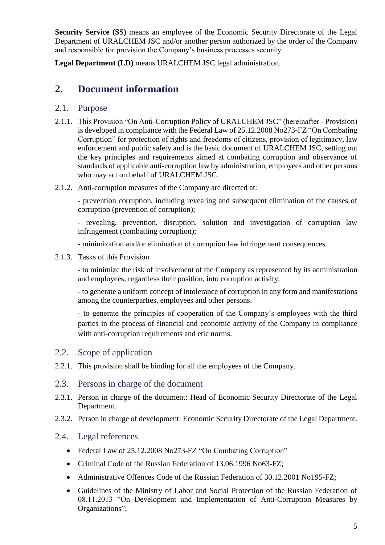**Security Service (SS)** means an employee of the Economic Security Directorate of the Legal Department of URALCHEM JSC and/or another person authorized by the order of the Company and responsible for provision the Company's business processes security.

**Legal Department (LD)** means URALCHEM JSC legal administration.

## **2. Document information**

#### 2.1. Purpose

- 2.1.1. This Provision "On Anti-Corruption Policy of URALCHEM JSC" (hereinafter Provision) is developed in compliance with the Federal Law of 25.12.2008 No273-FZ "On Combating Corruption" for protection of rights and freedoms of citizens, provision of legitimacy, law enforcement and public safety and is the basic document of URALCHEM JSC, setting out the key principles and requirements aimed at combating corruption and observance of standards of applicable anti-corruption law by administration, employees and other persons who may act on behalf of URALCHEM JSC.
- 2.1.2. Anti-corruption measures of the Company are directed at:

- prevention corruption, including revealing and subsequent elimination of the causes of corruption (prevention of corruption);

- revealing, prevention, disruption, solution and investigation of corruption law infringement (combatting corruption);

- minimization and/or elimination of corruption law infringement consequences.

2.1.3. Tasks of this Provision

- to minimize the risk of involvement of the Company as represented by its administration and employees, regardless their position, into corruption activity;

- to generate a uniform concept of intolerance of corruption in any form and manifestations among the counterparties, employees and other persons.

- to generate the principles of cooperation of the Company's employees with the third parties in the process of financial and economic activity of the Company in compliance with anti-corruption requirements and etic norms.

### 2.2. Scope of application

- 2.2.1. This provision shall be binding for all the employees of the Company.
- 2.3. Persons in charge of the document
- 2.3.1. Person in charge of the document: Head of Economic Security Directorate of the Legal Department.
- 2.3.2. Person in charge of development: Economic Security Directorate of the Legal Department.

### 2.4. Legal references

- Federal Law of 25.12.2008 No273-FZ "On Combating Corruption"
- Criminal Code of the Russian Federation of 13.06.1996 No63-FZ;
- Administrative Offences Code of the Russian Federation of 30.12.2001 No195-FZ;
- Guidelines of the Ministry of Labor and Social Protection of the Russian Federation of 08.11.2013 "On Development and Implementation of Anti-Corruption Measures by Organizations";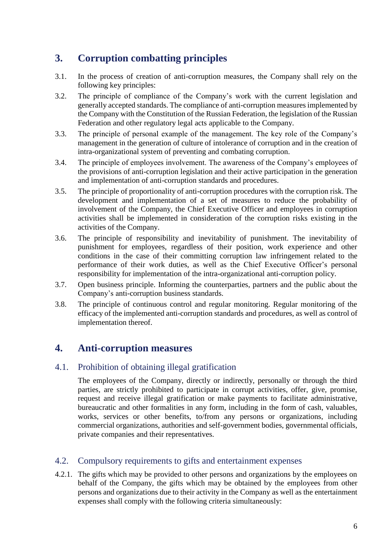## <span id="page-5-0"></span>**3. Corruption combatting principles**

- 3.1. In the process of creation of anti-corruption measures, the Company shall rely on the following key principles:
- 3.2. The principle of compliance of the Company's work with the current legislation and generally accepted standards. The compliance of anti-corruption measures implemented by the Company with the Constitution of the Russian Federation, the legislation of the Russian Federation and other regulatory legal acts applicable to the Company.
- 3.3. The principle of personal example of the management. The key role of the Company's management in the generation of culture of intolerance of corruption and in the creation of intra-organizational system of preventing and combating corruption.
- 3.4. The principle of employees involvement. The awareness of the Company's employees of the provisions of anti-corruption legislation and their active participation in the generation and implementation of anti-corruption standards and procedures.
- 3.5. The principle of proportionality of anti-corruption procedures with the corruption risk. The development and implementation of a set of measures to reduce the probability of involvement of the Company, the Chief Executive Officer and employees in corruption activities shall be implemented in consideration of the corruption risks existing in the activities of the Company.
- 3.6. The principle of responsibility and inevitability of punishment. The inevitability of punishment for employees, regardless of their position, work experience and other conditions in the case of their committing corruption law infringement related to the performance of their work duties, as well as the Chief Executive Officer's personal responsibility for implementation of the intra-organizational anti-corruption policy.
- 3.7. Open business principle. Informing the counterparties, partners and the public about the Company's anti-corruption business standards.
- 3.8. The principle of continuous control and regular monitoring. Regular monitoring of the efficacy of the implemented anti-corruption standards and procedures, as well as control of implementation thereof.

## **4. Anti-corruption measures**

### <span id="page-5-1"></span>4.1. Prohibition of obtaining illegal gratification

The employees of the Company, directly or indirectly, personally or through the third parties, are strictly prohibited to participate in corrupt activities, offer, give, promise, request and receive illegal gratification or make payments to facilitate administrative, bureaucratic and other formalities in any form, including in the form of cash, valuables, works, services or other benefits, to/from any persons or organizations, including commercial organizations, authorities and self-government bodies, governmental officials, private companies and their representatives.

### <span id="page-5-2"></span>4.2. Compulsory requirements to gifts and entertainment expenses

4.2.1. The gifts which may be provided to other persons and organizations by the employees on behalf of the Company, the gifts which may be obtained by the employees from other persons and organizations due to their activity in the Company as well as the entertainment expenses shall comply with the following criteria simultaneously: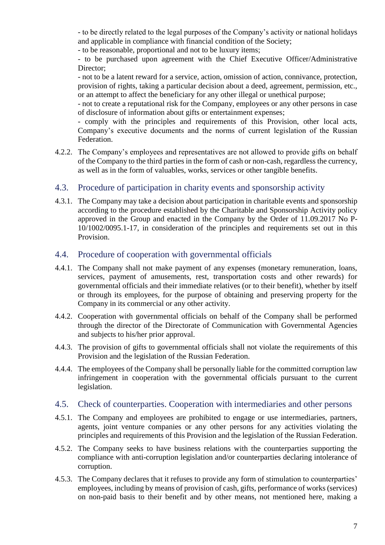- to be directly related to the legal purposes of the Company's activity or national holidays and applicable in compliance with financial condition of the Society;

- to be reasonable, proportional and not to be luxury items;

- to be purchased upon agreement with the Chief Executive Officer/Administrative Director:

- not to be a latent reward for a service, action, omission of action, connivance, protection, provision of rights, taking a particular decision about a deed, agreement, permission, etc., or an attempt to affect the beneficiary for any other illegal or unethical purpose;

- not to create a reputational risk for the Company, employees or any other persons in case of disclosure of information about gifts or entertainment expenses;

- comply with the principles and requirements of this Provision, other local acts, Company's executive documents and the norms of current legislation of the Russian Federation.

4.2.2. The Company's employees and representatives are not allowed to provide gifts on behalf of the Company to the third parties in the form of cash or non-cash, regardless the currency, as well as in the form of valuables, works, services or other tangible benefits.

#### 4.3. Procedure of participation in charity events and sponsorship activity

4.3.1. The Company may take a decision about participation in charitable events and sponsorship according to the procedure established by the Charitable and Sponsorship Activity policy approved in the Group and enacted in the Company by the Order of 11.09.2017 No P-10/1002/0095.1-17, in consideration of the principles and requirements set out in this Provision.

#### <span id="page-6-0"></span>4.4. Procedure of cooperation with governmental officials

- 4.4.1. The Company shall not make payment of any expenses (monetary remuneration, loans, services, payment of amusements, rest, transportation costs and other rewards) for governmental officials and their immediate relatives (or to their benefit), whether by itself or through its employees, for the purpose of obtaining and preserving property for the Company in its commercial or any other activity.
- 4.4.2. Cooperation with governmental officials on behalf of the Company shall be performed through the director of the Directorate of Communication with Governmental Agencies and subjects to his/her prior approval.
- 4.4.3. The provision of gifts to governmental officials shall not violate the requirements of this Provision and the legislation of the Russian Federation.
- 4.4.4. The employees of the Company shall be personally liable for the committed corruption law infringement in cooperation with the governmental officials pursuant to the current legislation.

#### <span id="page-6-1"></span>4.5. Check of counterparties. Cooperation with intermediaries and other persons

- 4.5.1. The Company and employees are prohibited to engage or use intermediaries, partners, agents, joint venture companies or any other persons for any activities violating the principles and requirements of this Provision and the legislation of the Russian Federation.
- 4.5.2. The Company seeks to have business relations with the counterparties supporting the compliance with anti-corruption legislation and/or counterparties declaring intolerance of corruption.
- 4.5.3. The Company declares that it refuses to provide any form of stimulation to counterparties' employees, including by means of provision of cash, gifts, performance of works (services) on non-paid basis to their benefit and by other means, not mentioned here, making a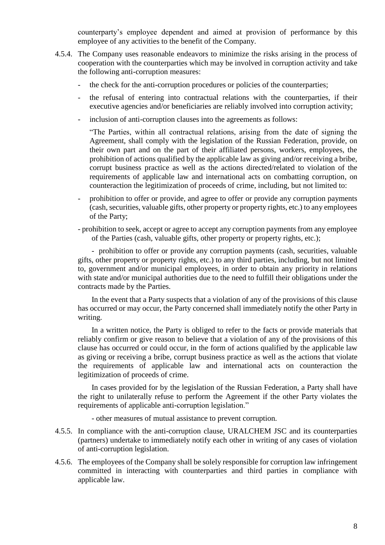counterparty's employee dependent and aimed at provision of performance by this employee of any activities to the benefit of the Company.

- 4.5.4. The Company uses reasonable endeavors to minimize the risks arising in the process of cooperation with the counterparties which may be involved in corruption activity and take the following anti-corruption measures:
	- the check for the anti-corruption procedures or policies of the counterparties;
	- the refusal of entering into contractual relations with the counterparties, if their executive agencies and/or beneficiaries are reliably involved into corruption activity;
	- inclusion of anti-corruption clauses into the agreements as follows:

"The Parties, within all contractual relations, arising from the date of signing the Agreement, shall comply with the legislation of the Russian Federation, provide, on their own part and on the part of their affiliated persons, workers, employees, the prohibition of actions qualified by the applicable law as giving and/or receiving a bribe, corrupt business practice as well as the actions directed/related to violation of the requirements of applicable law and international acts on combatting corruption, on counteraction the legitimization of proceeds of crime, including, but not limited to:

- prohibition to offer or provide, and agree to offer or provide any corruption payments (cash, securities, valuable gifts, other property or property rights, etc.) to any employees of the Party;
- prohibition to seek, accept or agree to accept any corruption payments from any employee of the Parties (cash, valuable gifts, other property or property rights, etc.);

- prohibition to offer or provide any corruption payments (cash, securities, valuable gifts, other property or property rights, etc.) to any third parties, including, but not limited to, government and/or municipal employees, in order to obtain any priority in relations with state and/or municipal authorities due to the need to fulfill their obligations under the contracts made by the Parties.

In the event that a Party suspects that a violation of any of the provisions of this clause has occurred or may occur, the Party concerned shall immediately notify the other Party in writing.

In a written notice, the Party is obliged to refer to the facts or provide materials that reliably confirm or give reason to believe that a violation of any of the provisions of this clause has occurred or could occur, in the form of actions qualified by the applicable law as giving or receiving a bribe, corrupt business practice as well as the actions that violate the requirements of applicable law and international acts on counteraction the legitimization of proceeds of crime.

In cases provided for by the legislation of the Russian Federation, a Party shall have the right to unilaterally refuse to perform the Agreement if the other Party violates the requirements of applicable anti-corruption legislation."

- other measures of mutual assistance to prevent corruption.

- 4.5.5. In compliance with the anti-corruption clause, URALCHEM JSC and its counterparties (partners) undertake to immediately notify each other in writing of any cases of violation of anti-corruption legislation.
- 4.5.6. The employees of the Company shall be solely responsible for corruption law infringement committed in interacting with counterparties and third parties in compliance with applicable law.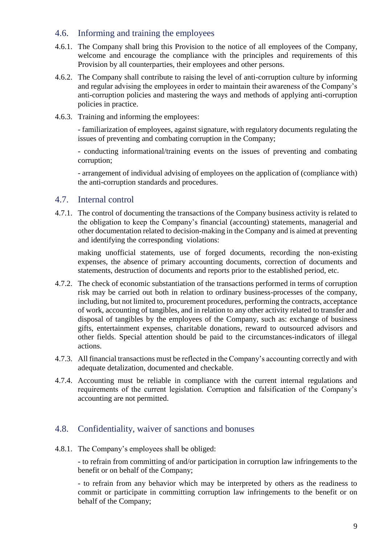#### <span id="page-8-0"></span>4.6. Informing and training the employees

- 4.6.1. The Company shall bring this Provision to the notice of all employees of the Company, welcome and encourage the compliance with the principles and requirements of this Provision by all counterparties, their employees and other persons.
- 4.6.2. The Company shall contribute to raising the level of anti-corruption culture by informing and regular advising the employees in order to maintain their awareness of the Company's anti-corruption policies and mastering the ways and methods of applying anti-corruption policies in practice.
- 4.6.3. Training and informing the employees:

- familiarization of employees, against signature, with regulatory documents regulating the issues of preventing and combating corruption in the Company;

- conducting informational/training events on the issues of preventing and combating corruption;

- arrangement of individual advising of employees on the application of (compliance with) the anti-corruption standards and procedures.

#### <span id="page-8-1"></span>4.7. Internal control

4.7.1. The control of documenting the transactions of the Company business activity is related to the obligation to keep the Company's financial (accounting) statements, managerial and other documentation related to decision-making in the Company and is aimed at preventing and identifying the corresponding violations:

making unofficial statements, use of forged documents, recording the non-existing expenses, the absence of primary accounting documents, correction of documents and statements, destruction of documents and reports prior to the established period, etc.

- 4.7.2. The check of economic substantiation of the transactions performed in terms of corruption risk may be carried out both in relation to ordinary business-processes of the company, including, but not limited to, procurement procedures, performing the contracts, acceptance of work, accounting of tangibles, and in relation to any other activity related to transfer and disposal of tangibles by the employees of the Company, such as: exchange of business gifts, entertainment expenses, charitable donations, reward to outsourced advisors and other fields. Special attention should be paid to the circumstances-indicators of illegal actions.
- 4.7.3. All financial transactions must be reflected in the Company's accounting correctly and with adequate detalization, documented and checkable.
- 4.7.4. Accounting must be reliable in compliance with the current internal regulations and requirements of the current legislation. Corruption and falsification of the Company's accounting are not permitted.

#### 4.8. Confidentiality, waiver of sanctions and bonuses

4.8.1. The Company's employees shall be obliged:

- to refrain from committing of and/or participation in corruption law infringements to the benefit or on behalf of the Company;

- to refrain from any behavior which may be interpreted by others as the readiness to commit or participate in committing corruption law infringements to the benefit or on behalf of the Company;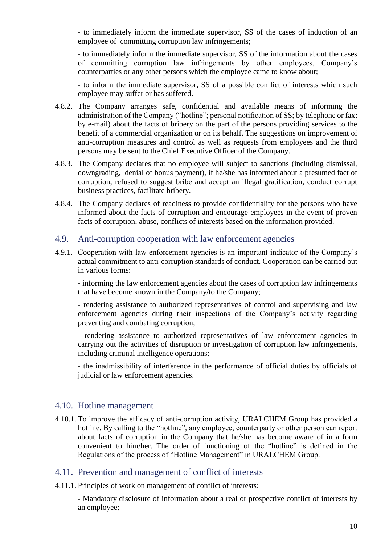- to immediately inform the immediate supervisor, SS of the cases of induction of an employee of committing corruption law infringements;

- to immediately inform the immediate supervisor, SS of the information about the cases of committing corruption law infringements by other employees, Company's counterparties or any other persons which the employee came to know about;

- to inform the immediate supervisor, SS of a possible conflict of interests which such employee may suffer or has suffered.

- 4.8.2. The Company arranges safe, confidential and available means of informing the administration of the Company ("hotline"; personal notification of SS; by telephone or fax; by e-mail) about the facts of bribery on the part of the persons providing services to the benefit of a commercial organization or on its behalf. The suggestions on improvement of anti-corruption measures and control as well as requests from employees and the third persons may be sent to the Chief Executive Officer of the Company.
- 4.8.3. The Company declares that no employee will subject to sanctions (including dismissal, downgrading, denial of bonus payment), if he/she has informed about a presumed fact of corruption, refused to suggest bribe and accept an illegal gratification, conduct corrupt business practices, facilitate bribery.
- 4.8.4. The Company declares of readiness to provide confidentiality for the persons who have informed about the facts of corruption and encourage employees in the event of proven facts of corruption, abuse, conflicts of interests based on the information provided.

#### <span id="page-9-0"></span>4.9. Anti-corruption cooperation with law enforcement agencies

4.9.1. Cooperation with law enforcement agencies is an important indicator of the Company's actual commitment to anti-corruption standards of conduct. Cooperation can be carried out in various forms:

- informing the law enforcement agencies about the cases of corruption law infringements that have become known in the Company/to the Company;

- rendering assistance to authorized representatives of control and supervising and law enforcement agencies during their inspections of the Company's activity regarding preventing and combating corruption;

- rendering assistance to authorized representatives of law enforcement agencies in carrying out the activities of disruption or investigation of corruption law infringements, including criminal intelligence operations;

- the inadmissibility of interference in the performance of official duties by officials of judicial or law enforcement agencies.

#### 4.10. Hotline management

4.10.1. To improve the efficacy of anti-corruption activity, URALCHEM Group has provided a hotline. By calling to the "hotline", any employee, counterparty or other person can report about facts of corruption in the Company that he/she has become aware of in a form convenient to him/her. The order of functioning of the "hotline" is defined in the Regulations of the process of "Hotline Management" in URALCHEM Group.

#### <span id="page-9-1"></span>4.11. Prevention and management of conflict of interests

4.11.1. Principles of work on management of conflict of interests:

- Mandatory disclosure of information about a real or prospective conflict of interests by an employee;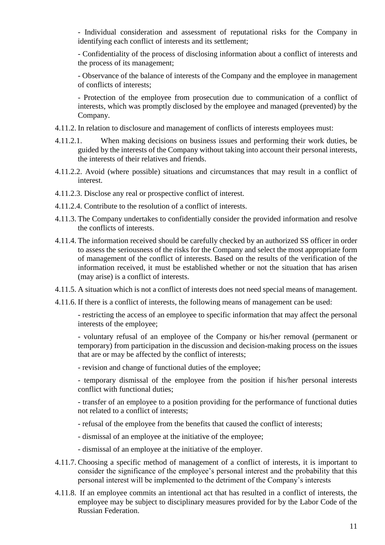- Individual consideration and assessment of reputational risks for the Company in identifying each conflict of interests and its settlement;

- Confidentiality of the process of disclosing information about a conflict of interests and the process of its management;

- Observance of the balance of interests of the Company and the employee in management of conflicts of interests;

- Protection of the employee from prosecution due to communication of a conflict of interests, which was promptly disclosed by the employee and managed (prevented) by the Company.

- 4.11.2. In relation to disclosure and management of conflicts of interests employees must:
- 4.11.2.1. When making decisions on business issues and performing their work duties, be guided by the interests of the Company without taking into account their personal interests, the interests of their relatives and friends.
- 4.11.2.2. Avoid (where possible) situations and circumstances that may result in a conflict of interest.
- 4.11.2.3. Disclose any real or prospective conflict of interest.
- 4.11.2.4. Contribute to the resolution of a conflict of interests.
- 4.11.3. The Company undertakes to confidentially consider the provided information and resolve the conflicts of interests.
- 4.11.4. The information received should be carefully checked by an authorized SS officer in order to assess the seriousness of the risks for the Company and select the most appropriate form of management of the conflict of interests. Based on the results of the verification of the information received, it must be established whether or not the situation that has arisen (may arise) is a conflict of interests.
- 4.11.5. A situation which is not a conflict of interests does not need special means of management.
- 4.11.6. If there is a conflict of interests, the following means of management can be used:

- restricting the access of an employee to specific information that may affect the personal interests of the employee;

- voluntary refusal of an employee of the Company or his/her removal (permanent or temporary) from participation in the discussion and decision-making process on the issues that are or may be affected by the conflict of interests;

- revision and change of functional duties of the employee;

- temporary dismissal of the employee from the position if his/her personal interests conflict with functional duties;

- transfer of an employee to a position providing for the performance of functional duties not related to a conflict of interests;

- refusal of the employee from the benefits that caused the conflict of interests;
- dismissal of an employee at the initiative of the employee;
- dismissal of an employee at the initiative of the employer.
- 4.11.7. Choosing a specific method of management of a conflict of interests, it is important to consider the significance of the employee's personal interest and the probability that this personal interest will be implemented to the detriment of the Company's interests
- 4.11.8. If an employee commits an intentional act that has resulted in a conflict of interests, the employee may be subject to disciplinary measures provided for by the Labor Code of the Russian Federation.